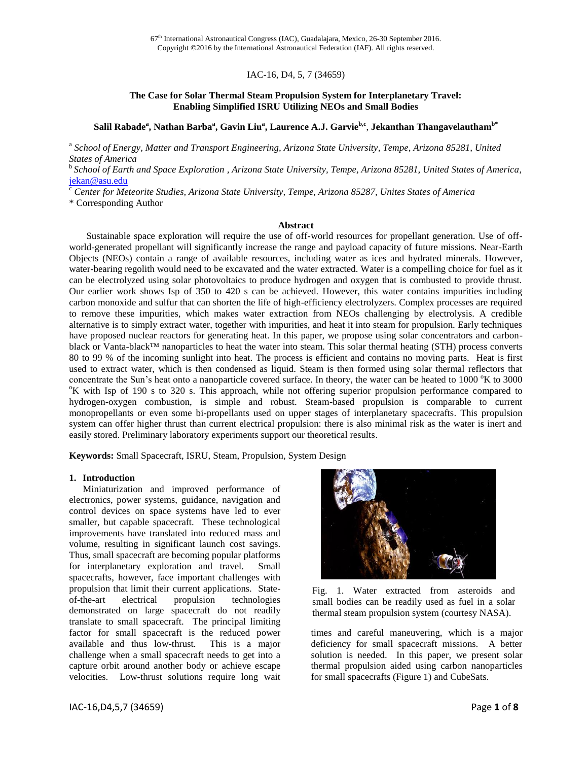## IAC-16, D4, 5, 7 (34659)

### **The Case for Solar Thermal Steam Propulsion System for Interplanetary Travel: Enabling Simplified ISRU Utilizing NEOs and Small Bodies**

## $\mathbf{S}$ alil Rabade $\mathbf{^a}, \mathbf{N}$ athan Barba $\mathbf{^a}, \mathbf{G}$ avin Liu $\mathbf{^a}, \mathbf{L}$ aurence A.J.  $\mathbf{Garvie}^{\mathbf{b,c}},$  Jekanthan Thangavelautham $\mathbf{^{b^*}}$

<sup>a</sup> School of Energy, Matter and Transport Engineering, Arizona State University, Tempe, Arizona 85281, United *States of America*

<sup>b</sup>*School of Earth and Space Exploration , Arizona State University, Tempe, Arizona 85281, United States of America*, [jekan@asu.edu](mailto:editor-in-chief@iaamail.org)

<sup>c</sup> *Center for Meteorite Studies, Arizona State University, Tempe, Arizona 85287, Unites States of America*

\* Corresponding Author

#### **Abstract**

Sustainable space exploration will require the use of off-world resources for propellant generation. Use of offworld-generated propellant will significantly increase the range and payload capacity of future missions. Near-Earth Objects (NEOs) contain a range of available resources, including water as ices and hydrated minerals. However, water-bearing regolith would need to be excavated and the water extracted. Water is a compelling choice for fuel as it can be electrolyzed using solar photovoltaics to produce hydrogen and oxygen that is combusted to provide thrust. Our earlier work shows Isp of 350 to 420 s can be achieved. However, this water contains impurities including carbon monoxide and sulfur that can shorten the life of high-efficiency electrolyzers. Complex processes are required to remove these impurities, which makes water extraction from NEOs challenging by electrolysis. A credible alternative is to simply extract water, together with impurities, and heat it into steam for propulsion. Early techniques have proposed nuclear reactors for generating heat. In this paper, we propose using solar concentrators and carbonblack or Vanta-black™ nanoparticles to heat the water into steam. This solar thermal heating (STH) process converts 80 to 99 % of the incoming sunlight into heat. The process is efficient and contains no moving parts. Heat is first used to extract water, which is then condensed as liquid. Steam is then formed using solar thermal reflectors that concentrate the Sun's heat onto a nanoparticle covered surface. In theory, the water can be heated to  $1000 \degree K$  to 3000 <sup>o</sup>K with Isp of 190 s to 320 s. This approach, while not offering superior propulsion performance compared to hydrogen-oxygen combustion, is simple and robust. Steam-based propulsion is comparable to current monopropellants or even some bi-propellants used on upper stages of interplanetary spacecrafts. This propulsion system can offer higher thrust than current electrical propulsion: there is also minimal risk as the water is inert and easily stored. Preliminary laboratory experiments support our theoretical results.

**Keywords:** Small Spacecraft, ISRU, Steam, Propulsion, System Design

#### **1. Introduction**

Miniaturization and improved performance of electronics, power systems, guidance, navigation and control devices on space systems have led to ever smaller, but capable spacecraft. These technological improvements have translated into reduced mass and volume, resulting in significant launch cost savings. Thus, small spacecraft are becoming popular platforms for interplanetary exploration and travel. Small spacecrafts, however, face important challenges with propulsion that limit their current applications. Stateof-the-art electrical propulsion technologies demonstrated on large spacecraft do not readily translate to small spacecraft. The principal limiting factor for small spacecraft is the reduced power available and thus low-thrust. This is a major challenge when a small spacecraft needs to get into a capture orbit around another body or achieve escape velocities. Low-thrust solutions require long wait



Fig. 1. Water extracted from asteroids and small bodies can be readily used as fuel in a solar thermal steam propulsion system (courtesy NASA).

times and careful maneuvering, which is a major deficiency for small spacecraft missions. A better solution is needed. In this paper, we present solar thermal propulsion aided using carbon nanoparticles for small spacecrafts (Figure 1) and CubeSats.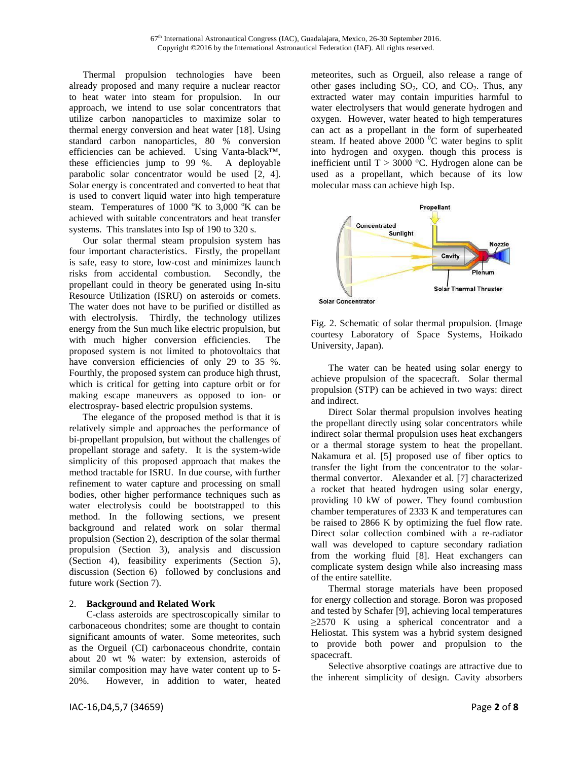Thermal propulsion technologies have been already proposed and many require a nuclear reactor to heat water into steam for propulsion. In our approach, we intend to use solar concentrators that utilize carbon nanoparticles to maximize solar to thermal energy conversion and heat water [18]. Using standard carbon nanoparticles, 80 % conversion efficiencies can be achieved. Using Vanta-black™, these efficiencies jump to 99 %. A deployable parabolic solar concentrator would be used [2, 4]. Solar energy is concentrated and converted to heat that is used to convert liquid water into high temperature steam. Temperatures of  $1000 \text{°K}$  to  $3,000 \text{°K}$  can be achieved with suitable concentrators and heat transfer systems. This translates into Isp of 190 to 320 s.

Our solar thermal steam propulsion system has four important characteristics. Firstly, the propellant is safe, easy to store, low-cost and minimizes launch risks from accidental combustion. Secondly, the propellant could in theory be generated using In-situ Resource Utilization (ISRU) on asteroids or comets. The water does not have to be purified or distilled as with electrolysis. Thirdly, the technology utilizes energy from the Sun much like electric propulsion, but with much higher conversion efficiencies. The proposed system is not limited to photovoltaics that have conversion efficiencies of only 29 to 35 %. Fourthly, the proposed system can produce high thrust, which is critical for getting into capture orbit or for making escape maneuvers as opposed to ion- or electrospray- based electric propulsion systems.

The elegance of the proposed method is that it is relatively simple and approaches the performance of bi-propellant propulsion, but without the challenges of propellant storage and safety. It is the system-wide simplicity of this proposed approach that makes the method tractable for ISRU. In due course, with further refinement to water capture and processing on small bodies, other higher performance techniques such as water electrolysis could be bootstrapped to this method. In the following sections, we present background and related work on solar thermal propulsion (Section 2), description of the solar thermal propulsion (Section 3), analysis and discussion (Section 4), feasibility experiments (Section 5), discussion (Section 6) followed by conclusions and future work (Section 7).

### 2. **Background and Related Work**

C-class asteroids are spectroscopically similar to carbonaceous chondrites; some are thought to contain significant amounts of water. Some meteorites, such as the Orgueil (CI) carbonaceous chondrite, contain about 20 wt % water: by extension, asteroids of similar composition may have water content up to 5- 20%. However, in addition to water, heated meteorites, such as Orgueil, also release a range of other gases including  $SO_2$ , CO, and  $CO_2$ . Thus, any extracted water may contain impurities harmful to water electrolysers that would generate hydrogen and oxygen. However, water heated to high temperatures can act as a propellant in the form of superheated steam. If heated above 2000  $\rm{^0C}$  water begins to split into hydrogen and oxygen. though this process is inefficient until T > 3000 °C. Hydrogen alone can be used as a propellant, which because of its low molecular mass can achieve high Isp.



Fig. 2. Schematic of solar thermal propulsion. (Image courtesy Laboratory of Space Systems, Hoikado University, Japan).

The water can be heated using solar energy to achieve propulsion of the spacecraft. Solar thermal propulsion (STP) can be achieved in two ways: direct and indirect.

Direct Solar thermal propulsion involves heating the propellant directly using solar concentrators while indirect solar thermal propulsion uses heat exchangers or a thermal storage system to heat the propellant. Nakamura et al. [5] proposed use of fiber optics to transfer the light from the concentrator to the solarthermal convertor. Alexander et al. [7] characterized a rocket that heated hydrogen using solar energy, providing 10 kW of power. They found combustion chamber temperatures of 2333 K and temperatures can be raised to 2866 K by optimizing the fuel flow rate. Direct solar collection combined with a re-radiator wall was developed to capture secondary radiation from the working fluid [8]. Heat exchangers can complicate system design while also increasing mass of the entire satellite.

Thermal storage materials have been proposed for energy collection and storage. Boron was proposed and tested by Schafer [9], achieving local temperatures  $\geq$ 2570 K using a spherical concentrator and a Heliostat. This system was a hybrid system designed to provide both power and propulsion to the spacecraft.

Selective absorptive coatings are attractive due to the inherent simplicity of design. Cavity absorbers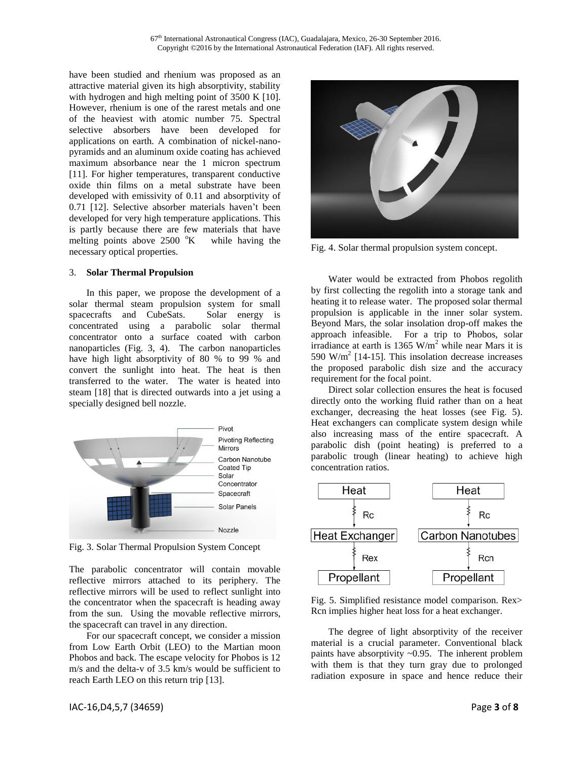have been studied and rhenium was proposed as an attractive material given its high absorptivity, stability with hydrogen and high melting point of 3500 K [10]. However, rhenium is one of the rarest metals and one of the heaviest with atomic number 75. Spectral selective absorbers have been developed for applications on earth. A combination of nickel-nanopyramids and an aluminum oxide coating has achieved maximum absorbance near the 1 micron spectrum [11]. For higher temperatures, transparent conductive oxide thin films on a metal substrate have been developed with emissivity of 0.11 and absorptivity of 0.71 [12]. Selective absorber materials haven't been developed for very high temperature applications. This is partly because there are few materials that have melting points above  $2500 \text{ °K}$  while having the necessary optical properties.

### 3. **Solar Thermal Propulsion**

In this paper, we propose the development of a solar thermal steam propulsion system for small spacecrafts and CubeSats. Solar energy is concentrated using a parabolic solar thermal concentrator onto a surface coated with carbon nanoparticles (Fig. 3, 4). The carbon nanoparticles have high light absorptivity of 80 % to 99 % and convert the sunlight into heat. The heat is then transferred to the water. The water is heated into steam [18] that is directed outwards into a jet using a specially designed bell nozzle.



Fig. 3. Solar Thermal Propulsion System Concept

The parabolic concentrator will contain movable reflective mirrors attached to its periphery. The reflective mirrors will be used to reflect sunlight into the concentrator when the spacecraft is heading away from the sun. Using the movable reflective mirrors, the spacecraft can travel in any direction.

For our spacecraft concept, we consider a mission from Low Earth Orbit (LEO) to the Martian moon Phobos and back. The escape velocity for Phobos is 12 m/s and the delta-v of 3.5 km/s would be sufficient to reach Earth LEO on this return trip [13].



Fig. 4. Solar thermal propulsion system concept.

Water would be extracted from Phobos regolith by first collecting the regolith into a storage tank and heating it to release water. The proposed solar thermal propulsion is applicable in the inner solar system. Beyond Mars, the solar insolation drop-off makes the approach infeasible. For a trip to Phobos, solar irradiance at earth is  $1365 \text{ W/m}^2$  while near Mars it is 590 W/m<sup>2</sup> [14-15]. This insolation decrease increases the proposed parabolic dish size and the accuracy requirement for the focal point.

Direct solar collection ensures the heat is focused directly onto the working fluid rather than on a heat exchanger, decreasing the heat losses (see Fig. 5). Heat exchangers can complicate system design while also increasing mass of the entire spacecraft. A parabolic dish (point heating) is preferred to a parabolic trough (linear heating) to achieve high concentration ratios.



Fig. 5. Simplified resistance model comparison. Rex> Rcn implies higher heat loss for a heat exchanger.

The degree of light absorptivity of the receiver material is a crucial parameter. Conventional black paints have absorptivity ~0.95. The inherent problem with them is that they turn gray due to prolonged radiation exposure in space and hence reduce their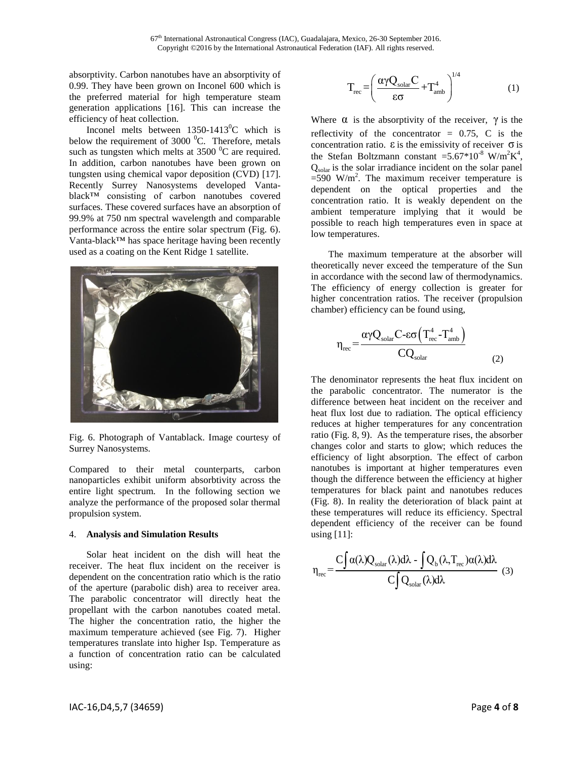absorptivity. Carbon nanotubes have an absorptivity of 0.99. They have been grown on Inconel 600 which is the preferred material for high temperature steam generation applications [16]. This can increase the efficiency of heat collection.

Inconel melts between  $1350-1413^{\circ}$ C which is below the requirement of 3000 $\,^0$ C. Therefore, metals such as tungsten which melts at  $3500<sup>0</sup>C$  are required. In addition, carbon nanotubes have been grown on tungsten using chemical vapor deposition (CVD) [17]. Recently Surrey Nanosystems developed Vantablack™ consisting of carbon nanotubes covered surfaces. These covered surfaces have an absorption of 99.9% at 750 nm spectral wavelength and comparable performance across the entire solar spectrum (Fig. 6). Vanta-black™ has space heritage having been recently used as a coating on the Kent Ridge 1 satellite.



Fig. 6. Photograph of Vantablack. Image courtesy of Surrey Nanosystems.

Compared to their metal counterparts, carbon nanoparticles exhibit uniform absorbtivity across the entire light spectrum. In the following section we analyze the performance of the proposed solar thermal propulsion system.

#### 4. **Analysis and Simulation Results**

Solar heat incident on the dish will heat the receiver. The heat flux incident on the receiver is dependent on the concentration ratio which is the ratio of the aperture (parabolic dish) area to receiver area. The parabolic concentrator will directly heat the propellant with the carbon nanotubes coated metal. The higher the concentration ratio, the higher the maximum temperature achieved (see Fig. 7). Higher temperatures translate into higher Isp. Temperature as a function of concentration ratio can be calculated using:

$$
T_{\rm rec}\!=\!\!\left(\frac{\alpha\gamma Q_{\rm solar}C}{\epsilon\sigma}\!+\!T_{\rm amb}^4\right)^{\!1/4}\tag{1}
$$

Where  $\alpha$  is the absorptivity of the receiver,  $\gamma$  is the reflectivity of the concentrator  $= 0.75$ , C is the concentration ratio.  $\varepsilon$  is the emissivity of receiver  $\sigma$  is the Stefan Boltzmann constant =  $5.67*10^{-8}$  W/m<sup>2</sup>K<sup>4</sup>, Qsolar is the solar irradiance incident on the solar panel  $=590$  W/m<sup>2</sup>. The maximum receiver temperature is dependent on the optical properties and the concentration ratio. It is weakly dependent on the ambient temperature implying that it would be possible to reach high temperatures even in space at low temperatures.

The maximum temperature at the absorber will theoretically never exceed the temperature of the Sun in accordance with the second law of thermodynamics. The efficiency of energy collection is greater for higher concentration ratios. The receiver (propulsion chamber) efficiency can be found using,

$$
\eta_{\rm rec} = \frac{\alpha \gamma Q_{\rm solar} C \text{-} \varepsilon \sigma \left( T_{\rm rec}^4 - T_{\rm amb}^4 \right)}{C Q_{\rm solar}}
$$
(2)

The denominator represents the heat flux incident on the parabolic concentrator. The numerator is the difference between heat incident on the receiver and heat flux lost due to radiation. The optical efficiency reduces at higher temperatures for any concentration ratio (Fig. 8, 9). As the temperature rises, the absorber changes color and starts to glow; which reduces the efficiency of light absorption. The effect of carbon nanotubes is important at higher temperatures even though the difference between the efficiency at higher temperatures for black paint and nanotubes reduces (Fig. 8). In reality the deterioration of black paint at these temperatures will reduce its efficiency. Spectral dependent efficiency of the receiver can be found using [11]:

using [11]:  
\n
$$
\eta_{\text{rec}} = \frac{C \int \alpha(\lambda) Q_{\text{solar}}(\lambda) d\lambda - \int Q_{b}(\lambda, T_{\text{rec}}) \alpha(\lambda) d\lambda}{C \int Q_{\text{solar}}(\lambda) d\lambda}
$$
\n(3)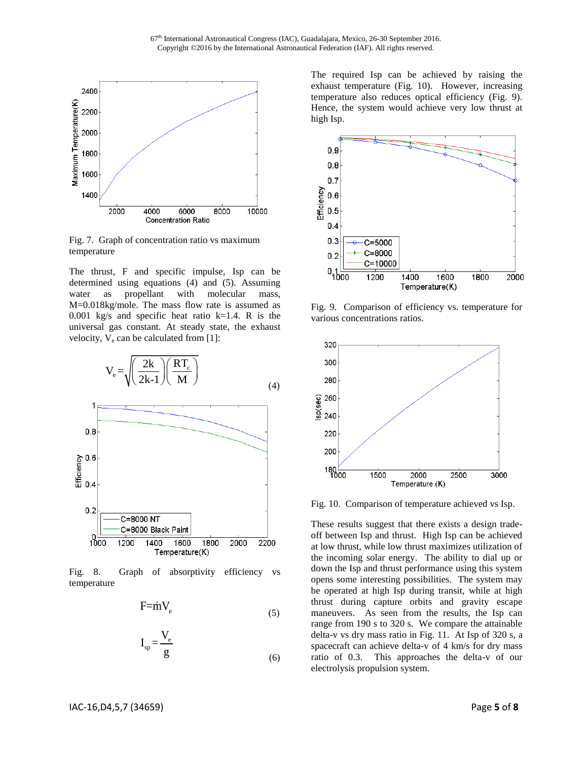

Fig. 7. Graph of concentration ratio vs maximum temperature

The thrust, F and specific impulse, Isp can be determined using equations (4) and (5). Assuming water as propellant with molecular mass, M=0.018kg/mole. The mass flow rate is assumed as 0.001 kg/s and specific heat ratio  $k=1.4$ . R is the universal gas constant. At steady state, the exhaust velocity,  $V_e$  can be calculated from [1]:



Fig. 8. Graph of absorptivity efficiency vs temperature

$$
F = mV_e \tag{5}
$$

$$
I_{sp} = \frac{V_e}{g}
$$
 (6)

The required Isp can be achieved by raising the exhaust temperature (Fig. 10). However, increasing temperature also reduces optical efficiency (Fig. 9). Hence, the system would achieve very low thrust at high Isp.



Fig. 9. Comparison of efficiency vs. temperature for various concentrations ratios.



Fig. 10. Comparison of temperature achieved vs Isp.

These results suggest that there exists a design tradeoff between Isp and thrust. High Isp can be achieved at low thrust, while low thrust maximizes utilization of the incoming solar energy. The ability to dial up or down the Isp and thrust performance using this system opens some interesting possibilities. The system may be operated at high Isp during transit, while at high thrust during capture orbits and gravity escape maneuvers. As seen from the results, the Isp can range from 190 s to 320 s. We compare the attainable delta-v vs dry mass ratio in Fig. 11. At Isp of 320 s, a spacecraft can achieve delta-v of 4 km/s for dry mass ratio of 0.3. This approaches the delta-v of our electrolysis propulsion system.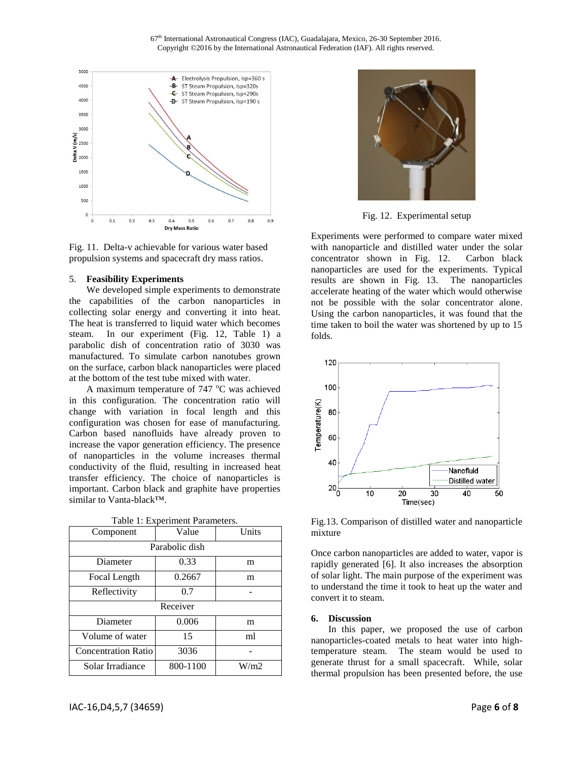67<sup>th</sup> International Astronautical Congress (IAC), Guadalajara, Mexico, 26-30 September 2016. Copyright ©2016 by the International Astronautical Federation (IAF). All rights reserved.



Fig. 11. Delta-v achievable for various water based propulsion systems and spacecraft dry mass ratios.

#### 5. **Feasibility Experiments**

We developed simple experiments to demonstrate the capabilities of the carbon nanoparticles in collecting solar energy and converting it into heat. The heat is transferred to liquid water which becomes steam. In our experiment (Fig. 12, Table 1) a parabolic dish of concentration ratio of 3030 was manufactured. To simulate carbon nanotubes grown on the surface, carbon black nanoparticles were placed at the bottom of the test tube mixed with water.

A maximum temperature of  $747 \degree C$  was achieved in this configuration. The concentration ratio will change with variation in focal length and this configuration was chosen for ease of manufacturing. Carbon based nanofluids have already proven to increase the vapor generation efficiency. The presence of nanoparticles in the volume increases thermal conductivity of the fluid, resulting in increased heat transfer efficiency. The choice of nanoparticles is important. Carbon black and graphite have properties similar to Vanta-black™.

| Component                  | Value    | Units |
|----------------------------|----------|-------|
| Parabolic dish             |          |       |
| Diameter                   | 0.33     | m     |
| Focal Length               | 0.2667   | m     |
| Reflectivity               | 0.7      |       |
| Receiver                   |          |       |
| Diameter                   | 0.006    | m     |
| Volume of water            | 15       | ml    |
| <b>Concentration Ratio</b> | 3036     |       |
| Solar Irradiance           | 800-1100 | W/m2  |

Table 1: Experiment Parameters.



Fig. 12. Experimental setup

Experiments were performed to compare water mixed with nanoparticle and distilled water under the solar concentrator shown in Fig. 12. Carbon black nanoparticles are used for the experiments. Typical results are shown in Fig. 13. The nanoparticles accelerate heating of the water which would otherwise not be possible with the solar concentrator alone. Using the carbon nanoparticles, it was found that the time taken to boil the water was shortened by up to 15 folds.



Fig.13. Comparison of distilled water and nanoparticle mixture

Once carbon nanoparticles are added to water, vapor is rapidly generated [6]. It also increases the absorption of solar light. The main purpose of the experiment was to understand the time it took to heat up the water and convert it to steam.

#### **6. Discussion**

In this paper, we proposed the use of carbon nanoparticles-coated metals to heat water into hightemperature steam. The steam would be used to generate thrust for a small spacecraft. While, solar thermal propulsion has been presented before, the use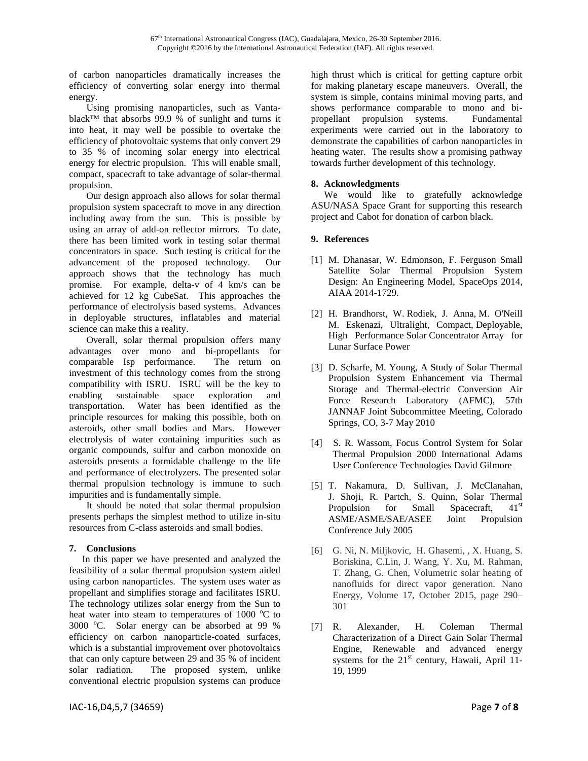of carbon nanoparticles dramatically increases the efficiency of converting solar energy into thermal energy.

Using promising nanoparticles, such as Vantablack™ that absorbs 99.9 % of sunlight and turns it into heat, it may well be possible to overtake the efficiency of photovoltaic systems that only convert 29 to 35 % of incoming solar energy into electrical energy for electric propulsion. This will enable small, compact, spacecraft to take advantage of solar-thermal propulsion.

Our design approach also allows for solar thermal propulsion system spacecraft to move in any direction including away from the sun. This is possible by using an array of add-on reflector mirrors. To date, there has been limited work in testing solar thermal concentrators in space. Such testing is critical for the advancement of the proposed technology. Our approach shows that the technology has much promise. For example, delta-v of 4 km/s can be achieved for 12 kg CubeSat. This approaches the performance of electrolysis based systems. Advances in deployable structures, inflatables and material science can make this a reality.

Overall, solar thermal propulsion offers many advantages over mono and bi-propellants for comparable Isp performance. The return on investment of this technology comes from the strong compatibility with ISRU. ISRU will be the key to enabling sustainable space exploration and transportation. Water has been identified as the principle resources for making this possible, both on asteroids, other small bodies and Mars. However electrolysis of water containing impurities such as organic compounds, sulfur and carbon monoxide on asteroids presents a formidable challenge to the life and performance of electrolyzers. The presented solar thermal propulsion technology is immune to such impurities and is fundamentally simple.

It should be noted that solar thermal propulsion presents perhaps the simplest method to utilize in-situ resources from C-class asteroids and small bodies.

# **7. Conclusions**

In this paper we have presented and analyzed the feasibility of a solar thermal propulsion system aided using carbon nanoparticles. The system uses water as propellant and simplifies storage and facilitates ISRU. The technology utilizes solar energy from the Sun to heat water into steam to temperatures of  $1000\degree C$  to  $3000 \degree$ C. Solar energy can be absorbed at 99 % efficiency on carbon nanoparticle-coated surfaces, which is a substantial improvement over photovoltaics that can only capture between 29 and 35 % of incident solar radiation. The proposed system, unlike conventional electric propulsion systems can produce

high thrust which is critical for getting capture orbit for making planetary escape maneuvers. Overall, the system is simple, contains minimal moving parts, and shows performance comparable to mono and bipropellant propulsion systems. Fundamental experiments were carried out in the laboratory to demonstrate the capabilities of carbon nanoparticles in heating water. The results show a promising pathway towards further development of this technology.

## **8. Acknowledgments**

We would like to gratefully acknowledge ASU/NASA Space Grant for supporting this research project and Cabot for donation of carbon black.

# **9. References**

- [1] M. Dhanasar, W. Edmonson, F. Ferguson Small Satellite Solar Thermal Propulsion System Design: An Engineering Model, SpaceOps 2014, AIAA 2014-1729.
- [2] H. Brandhorst, W. Rodiek, J. Anna, M. O'Neill M. Eskenazi, Ultralight, Compact, Deployable, High Performance Solar Concentrator Array for Lunar Surface Power
- [3] D. Scharfe, M. Young, A Study of Solar Thermal Propulsion System Enhancement via Thermal Storage and Thermal-electric Conversion Air Force Research Laboratory (AFMC), 57th JANNAF Joint Subcommittee Meeting, Colorado Springs, CO, 3-7 May 2010
- [4] S. R. Wassom, Focus Control System for Solar Thermal Propulsion 2000 International Adams User Conference Technologies David Gilmore
- [5] T. Nakamura, D. Sullivan, J. McClanahan, J. Shoji, R. Partch, S. Quinn, Solar Thermal Propulsion for Small Spacecraft, 41<sup>st</sup> ASME/ASME/SAE/ASEE Joint Propulsion Conference July 2005
- [6] G. Ni, N. Miljkovic, H. Ghasemi, , X. Huang, S. Boriskina, C.Lin, J. Wang, Y. Xu, M. Rahman, T. Zhang, G. Chen, Volumetric solar heating of nanofluids for direct vapor generation. Nano Energy, Volume 17, October 2015, page 290– 301
- [7] R. Alexander, H. Coleman Thermal Characterization of a Direct Gain Solar Thermal Engine, Renewable and advanced energy systems for the  $21<sup>st</sup>$  century, Hawaii, April 11-19, 1999